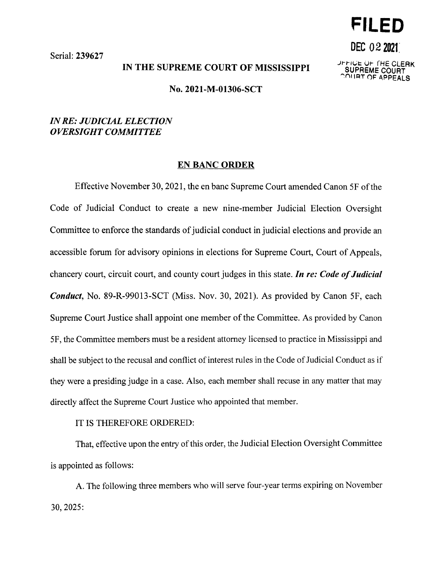Serial: 239627

## IN THE SUPREME COURT OF MISSISSIPPI

.Jr-r-1~1:. *Ut-* (HE CLERK **SUPREME** COURT **~f'II IAT** ()F **APPEALS** 

**DEC 02 2021:** 

**FILED** 

### No. 2021-M-01306-SCT

# *IN RE: JUDICIAL ELECTION OVERSIGHT COMMITTEE*

#### **EN BANC ORDER**

Effective November 30, 2021, the en bane Supreme Court amended Canon SF of the Code of Judicial Conduct to create a new nine-member Judicial Election Oversight Committee to enforce the standards of judicial conduct in judicial elections and provide an accessible forum for advisory opinions in elections for Supreme Court, Court of Appeals, chancery court, circuit court, and county court judges in this state. *In re: Code of Judicial Conduct,* No. 89-R-99013-SCT (Miss. Nov. 30, 2021). As provided by Canon SF, each Supreme Court Justice shall appoint one member of the Committee. As provided by Canon SF, the Committee members must be a resident attorney licensed to practice in Mississippi and shall be subject to the recusal and conflict of interest rules in the Code of Judicial Conduct as if they were a presiding judge in a case. Also, each member shall recuse in any matter that may directly affect the Supreme Court Justice who appointed that member.

## IT IS THEREFORE ORDERED:

That, effective upon the entry of this order, the Judicial Election Oversight Committee is appointed as follows:

A. The following three members who will serve four-year terms expiring on November 30, 2025: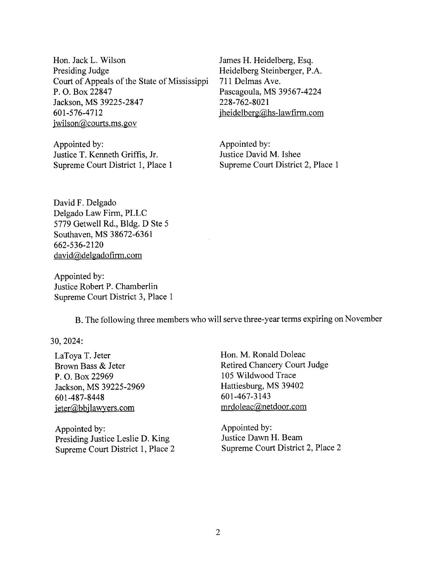Hon. Jack L. Wilson Presiding Judge Court of Appeals of the State of Mississippi P. 0. Box 22847 Jackson, MS 39225-2847 601-576-4712 iwilson@courts.ms. gov

Appointed by: Justice T. Kenneth Griffis, Jr. Supreme Court District 1, Place 1 James H. Heidelberg, Esq. Heidelberg Steinberger, P.A. 711 Delmas Ave. Pascagoula, MS 39567-4224 228-762-8021 jheidelberg@hs-lawfirm.com

Appointed by: Justice David M. Ishee Supreme Court District 2, Place 1

David F. Delgado Delgado Law Firm, PLLC 5779 Getwell Rd., Bldg. D Ste 5 Southaven, MS 38672-6361 662-536-2120 david@delgadofirm.com

Appointed by: Justice Robert P. Chamberlin Supreme Court District 3, Place 1

B. The following three members who will serve three-year terms expiring on November

30, 2024:

LaToya T. Jeter Brown Bass & Jeter P. 0. Box 22969 Jackson, MS 39225-2969 601-487-8448 jeter@bbjlawyers.com

Appointed by: Presiding Justice Leslie D. King Supreme Court District 1, Place 2 Hon. M. Ronald Doleac Retired Chancery Court Judge 105 Wildwood Trace Hattiesburg, MS 39402 601-467-3143 mrdoleac@netdoor.com

Appointed by: Justice Dawn H. Beam Supreme Court District 2, Place 2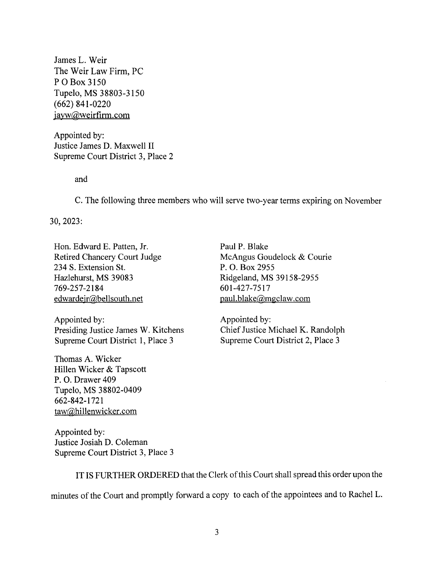James L. Weir The Weir Law Firm, PC PO Box 3150 Tupelo, MS 38803-3150  $(662)$  841-0220 jayw@weirfirm.com

Appointed by: Justice James D. Maxwell II Supreme Court District 3, Place 2

and

C. The following three members who will serve two-year terms expiring on November

30, 2023:

Hon. Edward E. Patten, Jr. Retired Chancery Court Judge 234 S. Extension St. Hazlehurst, MS 39083 769-257-2184 edwardejr@bellsouth.net

Appointed by: Presiding Justice James W. Kitchens Supreme Court District 1, Place 3

Thomas A. Wicker Hillen Wicker & Tapscott P. 0. Drawer 409 Tupelo, MS 38802-0409 662-842-1721 taw@hillenwicker.com

Paul P. Blake McAngus Goudelock & Courie P. 0. Box 2955 Ridgeland, MS 39158-2955 601-427-7517 paul. blake@mgclaw.com

Appointed by: Chief Justice Michael K. Randolph Supreme Court District 2, Place 3

Appointed by: Justice Josiah D. Coleman Supreme Court District 3, Place 3

IT IS FURTHER ORDERED that the Clerk of this Court shall spread this order upon the minutes of the Court and promptly forward a copy to each of the appointees and to Rachel L.